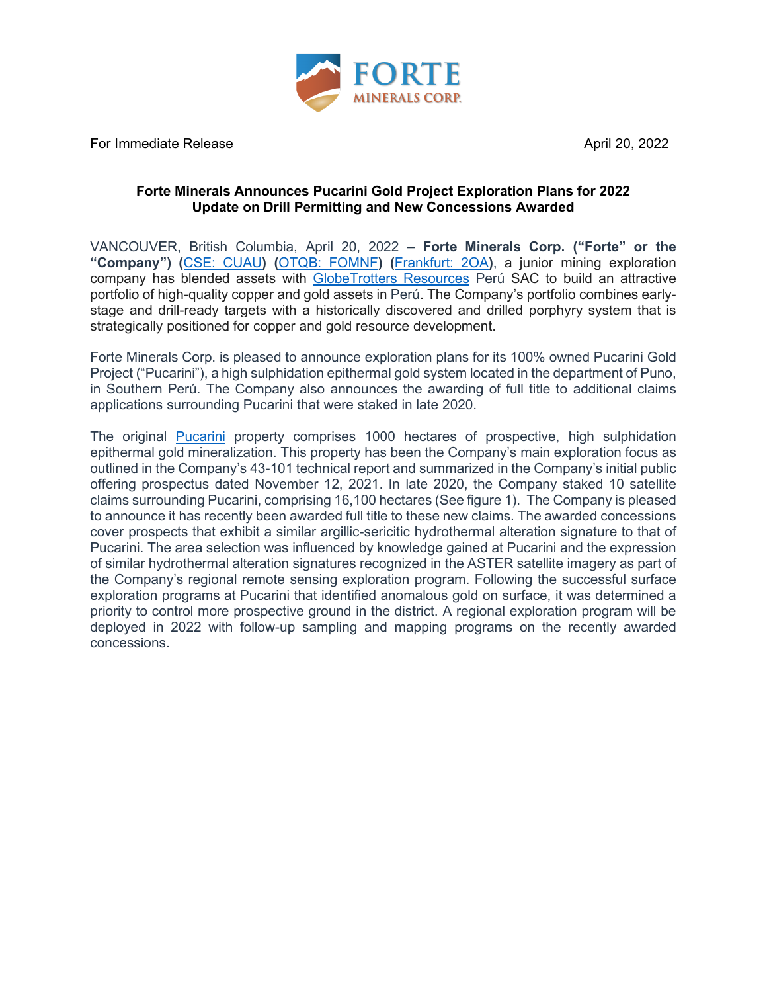

For Immediate Release April 20, 2022

### **Forte Minerals Announces Pucarini Gold Project Exploration Plans for 2022 Update on Drill Permitting and New Concessions Awarded**

VANCOUVER, British Columbia, April 20, 2022 – **Forte Minerals Corp. ("Forte" or the "Company") (**[CSE: CUAU](https://www.thecse.com/en/listings/mining/forte-minerals-corp)**) (**[OTQB: FOMNF](https://www.otcmarkets.com/stock/FOMNF/overview)**) (**[Frankfurt: 2OA](https://www.boerse-frankfurt.de/equity/forte-minerals-corp)**)**, a junior mining exploration company has blended assets with [GlobeTrotters Resources](http://www.globetrottersresources.ca/) Perú SAC to build an attractive portfolio of high-quality copper and gold assets in Perú. The Company's portfolio combines earlystage and drill-ready targets with a historically discovered and drilled porphyry system that is strategically positioned for copper and gold resource development.

Forte Minerals Corp. is pleased to announce exploration plans for its 100% owned Pucarini Gold Project ("Pucarini"), a high sulphidation epithermal gold system located in the department of Puno, in Southern Perú. The Company also announces the awarding of full title to additional claims applications surrounding Pucarini that were staked in late 2020.

The original [Pucarini](https://forteminerals.com/projects/pucarini/) property comprises 1000 hectares of prospective, high sulphidation epithermal gold mineralization. This property has been the Company's main exploration focus as outlined in the Company's 43-101 technical report and summarized in the Company's initial public offering prospectus dated November 12, 2021. In late 2020, the Company staked 10 satellite claims surrounding Pucarini, comprising 16,100 hectares (See figure 1). The Company is pleased to announce it has recently been awarded full title to these new claims. The awarded concessions cover prospects that exhibit a similar argillic-sericitic hydrothermal alteration signature to that of Pucarini. The area selection was influenced by knowledge gained at Pucarini and the expression of similar hydrothermal alteration signatures recognized in the ASTER satellite imagery as part of the Company's regional remote sensing exploration program. Following the successful surface exploration programs at Pucarini that identified anomalous gold on surface, it was determined a priority to control more prospective ground in the district. A regional exploration program will be deployed in 2022 with follow-up sampling and mapping programs on the recently awarded concessions.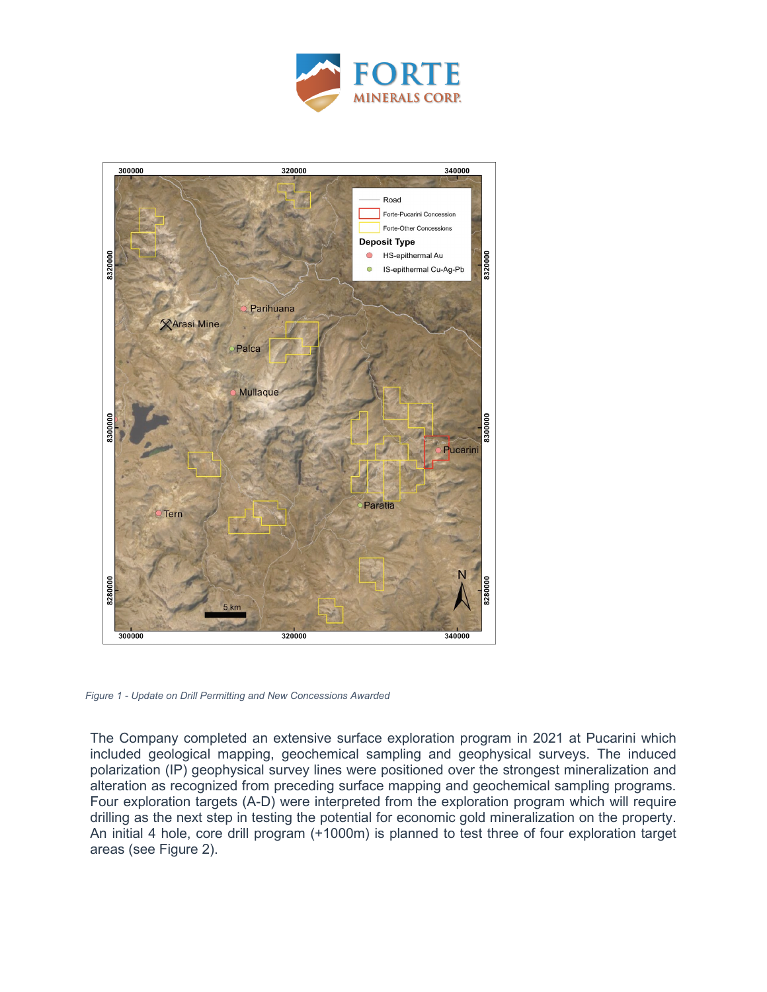



*Figure 1 - Update on Drill Permitting and New Concessions Awarded*

The Company completed an extensive surface exploration program in 2021 at Pucarini which included geological mapping, geochemical sampling and geophysical surveys. The induced polarization (IP) geophysical survey lines were positioned over the strongest mineralization and alteration as recognized from preceding surface mapping and geochemical sampling programs. Four exploration targets (A-D) were interpreted from the exploration program which will require drilling as the next step in testing the potential for economic gold mineralization on the property. An initial 4 hole, core drill program (+1000m) is planned to test three of four exploration target areas (see Figure 2).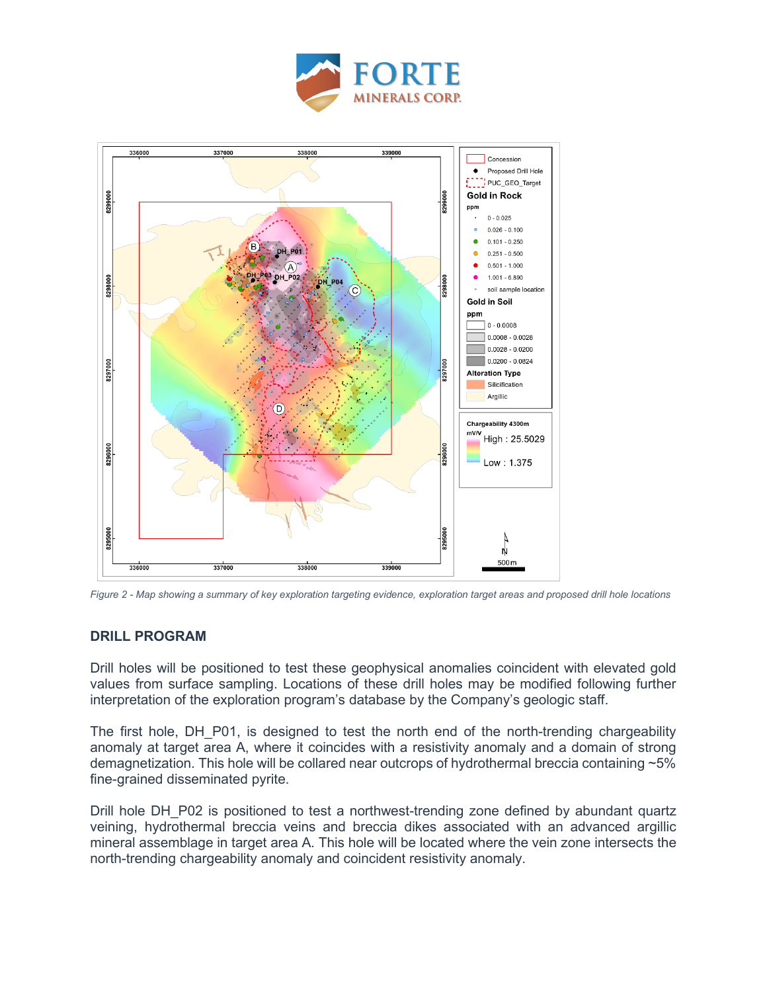



*Figure 2 - Map showing a summary of key exploration targeting evidence, exploration target areas and proposed drill hole locations*

## **DRILL PROGRAM**

Drill holes will be positioned to test these geophysical anomalies coincident with elevated gold values from surface sampling. Locations of these drill holes may be modified following further interpretation of the exploration program's database by the Company's geologic staff.

The first hole, DH P01, is designed to test the north end of the north-trending chargeability anomaly at target area A, where it coincides with a resistivity anomaly and a domain of strong demagnetization. This hole will be collared near outcrops of hydrothermal breccia containing ~5% fine-grained disseminated pyrite.

Drill hole DH\_P02 is positioned to test a northwest-trending zone defined by abundant quartz veining, hydrothermal breccia veins and breccia dikes associated with an advanced argillic mineral assemblage in target area A. This hole will be located where the vein zone intersects the north-trending chargeability anomaly and coincident resistivity anomaly.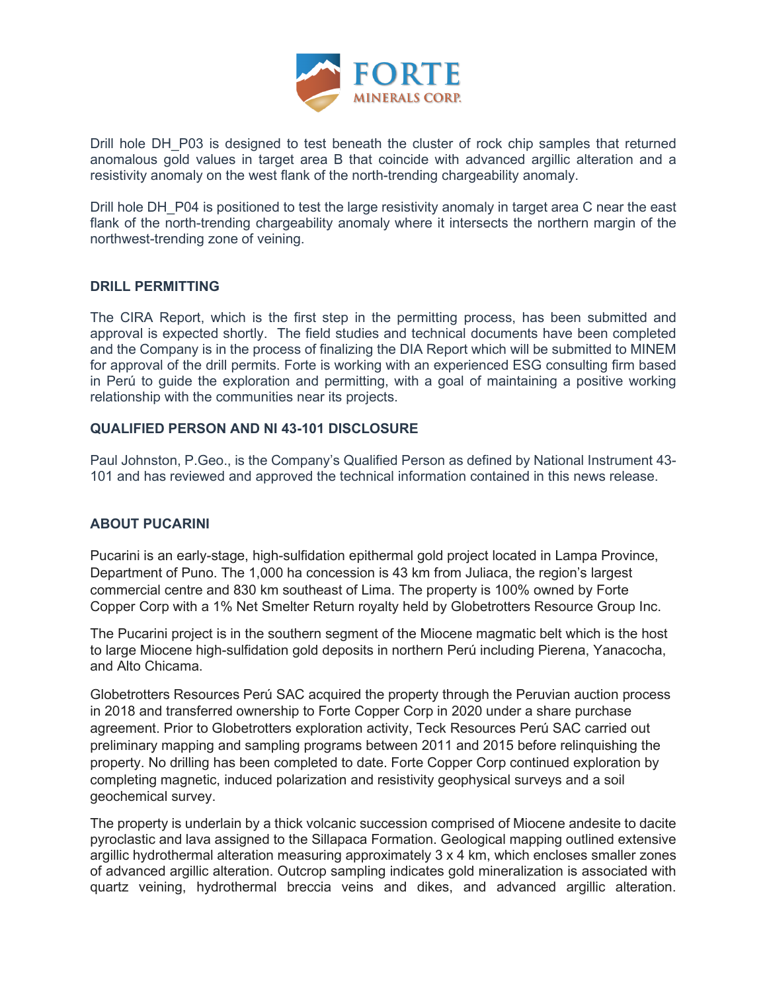

Drill hole DH\_P03 is designed to test beneath the cluster of rock chip samples that returned anomalous gold values in target area B that coincide with advanced argillic alteration and a resistivity anomaly on the west flank of the north-trending chargeability anomaly.

Drill hole DH\_P04 is positioned to test the large resistivity anomaly in target area C near the east flank of the north-trending chargeability anomaly where it intersects the northern margin of the northwest-trending zone of veining.

#### **DRILL PERMITTING**

The CIRA Report, which is the first step in the permitting process, has been submitted and approval is expected shortly. The field studies and technical documents have been completed and the Company is in the process of finalizing the DIA Report which will be submitted to MINEM for approval of the drill permits. Forte is working with an experienced ESG consulting firm based in Perú to guide the exploration and permitting, with a goal of maintaining a positive working relationship with the communities near its projects.

#### **QUALIFIED PERSON AND NI 43-101 DISCLOSURE**

Paul Johnston, P.Geo., is the Company's Qualified Person as defined by National Instrument 43- 101 and has reviewed and approved the technical information contained in this news release.

# **ABOUT PUCARINI**

Pucarini is an early-stage, high-sulfidation epithermal gold project located in Lampa Province, Department of Puno. The 1,000 ha concession is 43 km from Juliaca, the region's largest commercial centre and 830 km southeast of Lima. The property is 100% owned by Forte Copper Corp with a 1% Net Smelter Return royalty held by Globetrotters Resource Group Inc.

The Pucarini project is in the southern segment of the Miocene magmatic belt which is the host to large Miocene high-sulfidation gold deposits in northern Perú including Pierena, Yanacocha, and Alto Chicama.

Globetrotters Resources Perú SAC acquired the property through the Peruvian auction process in 2018 and transferred ownership to Forte Copper Corp in 2020 under a share purchase agreement. Prior to Globetrotters exploration activity, Teck Resources Perú SAC carried out preliminary mapping and sampling programs between 2011 and 2015 before relinquishing the property. No drilling has been completed to date. Forte Copper Corp continued exploration by completing magnetic, induced polarization and resistivity geophysical surveys and a soil geochemical survey.

The property is underlain by a thick volcanic succession comprised of Miocene andesite to dacite pyroclastic and lava assigned to the Sillapaca Formation. Geological mapping outlined extensive argillic hydrothermal alteration measuring approximately 3 x 4 km, which encloses smaller zones of advanced argillic alteration. Outcrop sampling indicates gold mineralization is associated with quartz veining, hydrothermal breccia veins and dikes, and advanced argillic alteration.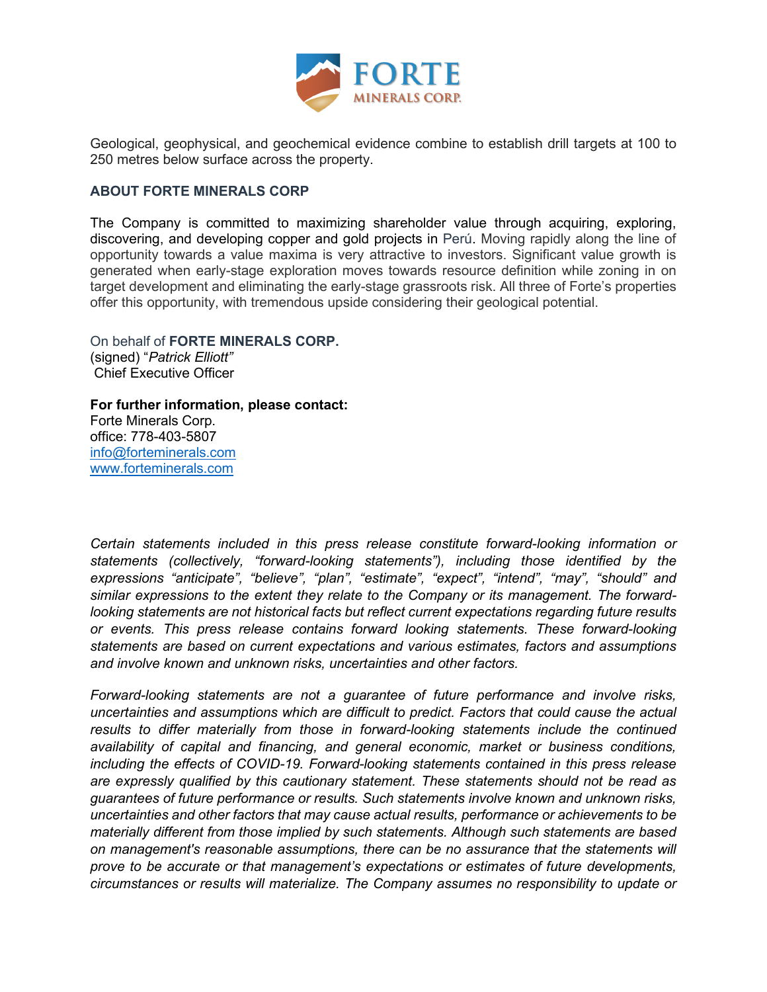

Geological, geophysical, and geochemical evidence combine to establish drill targets at 100 to 250 metres below surface across the property.

#### **ABOUT FORTE MINERALS CORP**

The Company is committed to maximizing shareholder value through acquiring, exploring, discovering, and developing copper and gold projects in Perú. Moving rapidly along the line of opportunity towards a value maxima is very attractive to investors. Significant value growth is generated when early-stage exploration moves towards resource definition while zoning in on target development and eliminating the early-stage grassroots risk. All three of Forte's properties offer this opportunity, with tremendous upside considering their geological potential.

On behalf of **FORTE MINERALS CORP.** (signed) "*Patrick Elliott"* Chief Executive Officer

**For further information, please contact:**  Forte Minerals Corp. office: 778-403-5807 [info@forteminerals.com](mailto:info@forteminerals.co) [www.forteminerals.com](http://www.forteminerals.com/)

*Certain statements included in this press release constitute forward-looking information or statements (collectively, "forward-looking statements"), including those identified by the expressions "anticipate", "believe", "plan", "estimate", "expect", "intend", "may", "should" and similar expressions to the extent they relate to the Company or its management. The forwardlooking statements are not historical facts but reflect current expectations regarding future results or events. This press release contains forward looking statements. These forward-looking statements are based on current expectations and various estimates, factors and assumptions and involve known and unknown risks, uncertainties and other factors.*

*Forward-looking statements are not a guarantee of future performance and involve risks, uncertainties and assumptions which are difficult to predict. Factors that could cause the actual*  results to differ materially from those in forward-looking statements include the continued *availability of capital and financing, and general economic, market or business conditions, including the effects of COVID-19. Forward-looking statements contained in this press release are expressly qualified by this cautionary statement. These statements should not be read as guarantees of future performance or results. Such statements involve known and unknown risks, uncertainties and other factors that may cause actual results, performance or achievements to be materially different from those implied by such statements. Although such statements are based on management's reasonable assumptions, there can be no assurance that the statements will prove to be accurate or that management's expectations or estimates of future developments, circumstances or results will materialize. The Company assumes no responsibility to update or*